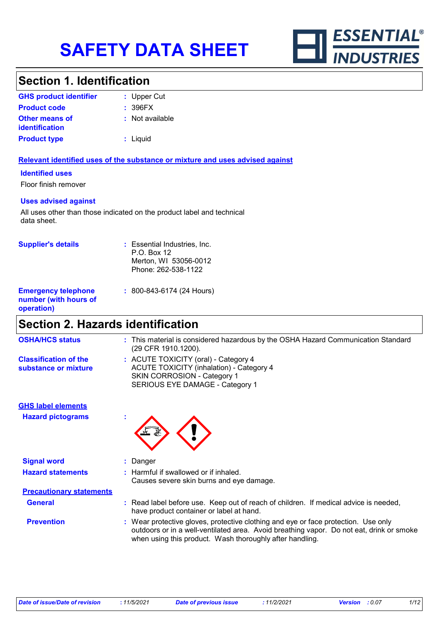

### **Section 1. Identification**

| <b>GHS product identifier</b>                  | : Upper Cut     |
|------------------------------------------------|-----------------|
| <b>Product code</b>                            | : 396FX         |
| <b>Other means of</b><br><i>identification</i> | : Not available |
| <b>Product type</b>                            | : Liquid        |

#### **Relevant identified uses of the substance or mixture and uses advised against**

#### **Identified uses**

Floor finish remover

#### **Uses advised against**

All uses other than those indicated on the product label and technical data sheet.

| <b>Supplier's details</b>                                         | : Essential Industries, Inc.<br>$P.O.$ Box 12<br>Merton, WI 53056-0012<br>Phone: 262-538-1122 |
|-------------------------------------------------------------------|-----------------------------------------------------------------------------------------------|
| <b>Emergency telephone</b><br>number (with hours of<br>operation) | : 800-843-6174 (24 Hours)                                                                     |

## **Section 2. Hazards identification**

| <b>OSHA/HCS status</b>                               | : This material is considered hazardous by the OSHA Hazard Communication Standard<br>(29 CFR 1910.1200).                                                                                                                                   |
|------------------------------------------------------|--------------------------------------------------------------------------------------------------------------------------------------------------------------------------------------------------------------------------------------------|
| <b>Classification of the</b><br>substance or mixture | : ACUTE TOXICITY (oral) - Category 4<br><b>ACUTE TOXICITY (inhalation) - Category 4</b><br><b>SKIN CORROSION - Category 1</b><br>SERIOUS EYE DAMAGE - Category 1                                                                           |
| <b>GHS label elements</b>                            |                                                                                                                                                                                                                                            |
| <b>Hazard pictograms</b>                             |                                                                                                                                                                                                                                            |
| <b>Signal word</b>                                   | : Danger                                                                                                                                                                                                                                   |
| <b>Hazard statements</b>                             | : Harmful if swallowed or if inhaled.<br>Causes severe skin burns and eye damage.                                                                                                                                                          |
| <b>Precautionary statements</b>                      |                                                                                                                                                                                                                                            |
| <b>General</b>                                       | : Read label before use. Keep out of reach of children. If medical advice is needed,<br>have product container or label at hand.                                                                                                           |
| <b>Prevention</b>                                    | : Wear protective gloves, protective clothing and eye or face protection. Use only<br>outdoors or in a well-ventilated area. Avoid breathing vapor. Do not eat, drink or smoke<br>when using this product. Wash thoroughly after handling. |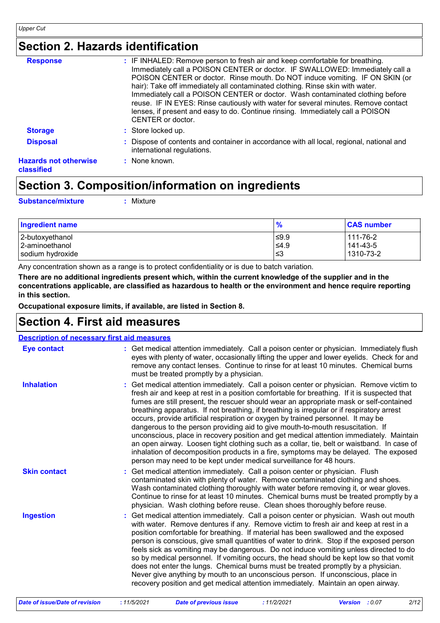### **Section 2. Hazards identification**

| <b>Response</b>                            | : IF INHALED: Remove person to fresh air and keep comfortable for breathing.                                                                                                                                                                                                                                                                                                                                                                                                                                                |
|--------------------------------------------|-----------------------------------------------------------------------------------------------------------------------------------------------------------------------------------------------------------------------------------------------------------------------------------------------------------------------------------------------------------------------------------------------------------------------------------------------------------------------------------------------------------------------------|
|                                            | Immediately call a POISON CENTER or doctor. IF SWALLOWED: Immediately call a<br>POISON CENTER or doctor. Rinse mouth. Do NOT induce vomiting. IF ON SKIN (or<br>hair): Take off immediately all contaminated clothing. Rinse skin with water.<br>Immediately call a POISON CENTER or doctor. Wash contaminated clothing before<br>reuse. IF IN EYES: Rinse cautiously with water for several minutes. Remove contact<br>lenses, if present and easy to do. Continue rinsing. Immediately call a POISON<br>CENTER or doctor. |
| <b>Storage</b>                             | : Store locked up.                                                                                                                                                                                                                                                                                                                                                                                                                                                                                                          |
| <b>Disposal</b>                            | : Dispose of contents and container in accordance with all local, regional, national and<br>international regulations.                                                                                                                                                                                                                                                                                                                                                                                                      |
| <b>Hazards not otherwise</b><br>classified | : None known.                                                                                                                                                                                                                                                                                                                                                                                                                                                                                                               |

### **Section 3. Composition/information on ingredients**

**Substance/mixture :**

: Mixture

| <b>Ingredient name</b> | $\frac{1}{2}$ | <b>CAS number</b> |
|------------------------|---------------|-------------------|
| 2-butoxyethanol        | $\leq 9.9$    | 111-76-2          |
| 2-aminoethanol         | $\leq 4.9$    | 141-43-5          |
| sodium hydroxide       | 3≥ ا          | 1310-73-2         |

Any concentration shown as a range is to protect confidentiality or is due to batch variation.

**There are no additional ingredients present which, within the current knowledge of the supplier and in the concentrations applicable, are classified as hazardous to health or the environment and hence require reporting in this section.**

**Occupational exposure limits, if available, are listed in Section 8.**

### **Section 4. First aid measures**

| <b>Description of necessary first aid measures</b> |                                                                                                                                                                                                                                                                                                                                                                                                                                                                                                                                                                                                                                                                                                                                                                                                                                                                                                              |
|----------------------------------------------------|--------------------------------------------------------------------------------------------------------------------------------------------------------------------------------------------------------------------------------------------------------------------------------------------------------------------------------------------------------------------------------------------------------------------------------------------------------------------------------------------------------------------------------------------------------------------------------------------------------------------------------------------------------------------------------------------------------------------------------------------------------------------------------------------------------------------------------------------------------------------------------------------------------------|
| <b>Eye contact</b>                                 | : Get medical attention immediately. Call a poison center or physician. Immediately flush<br>eyes with plenty of water, occasionally lifting the upper and lower eyelids. Check for and<br>remove any contact lenses. Continue to rinse for at least 10 minutes. Chemical burns<br>must be treated promptly by a physician.                                                                                                                                                                                                                                                                                                                                                                                                                                                                                                                                                                                  |
| <b>Inhalation</b>                                  | : Get medical attention immediately. Call a poison center or physician. Remove victim to<br>fresh air and keep at rest in a position comfortable for breathing. If it is suspected that<br>fumes are still present, the rescuer should wear an appropriate mask or self-contained<br>breathing apparatus. If not breathing, if breathing is irregular or if respiratory arrest<br>occurs, provide artificial respiration or oxygen by trained personnel. It may be<br>dangerous to the person providing aid to give mouth-to-mouth resuscitation. If<br>unconscious, place in recovery position and get medical attention immediately. Maintain<br>an open airway. Loosen tight clothing such as a collar, tie, belt or waistband. In case of<br>inhalation of decomposition products in a fire, symptoms may be delayed. The exposed<br>person may need to be kept under medical surveillance for 48 hours. |
| <b>Skin contact</b>                                | : Get medical attention immediately. Call a poison center or physician. Flush<br>contaminated skin with plenty of water. Remove contaminated clothing and shoes.<br>Wash contaminated clothing thoroughly with water before removing it, or wear gloves.<br>Continue to rinse for at least 10 minutes. Chemical burns must be treated promptly by a<br>physician. Wash clothing before reuse. Clean shoes thoroughly before reuse.                                                                                                                                                                                                                                                                                                                                                                                                                                                                           |
| <b>Ingestion</b>                                   | : Get medical attention immediately. Call a poison center or physician. Wash out mouth<br>with water. Remove dentures if any. Remove victim to fresh air and keep at rest in a<br>position comfortable for breathing. If material has been swallowed and the exposed<br>person is conscious, give small quantities of water to drink. Stop if the exposed person<br>feels sick as vomiting may be dangerous. Do not induce vomiting unless directed to do<br>so by medical personnel. If vomiting occurs, the head should be kept low so that vomit<br>does not enter the lungs. Chemical burns must be treated promptly by a physician.<br>Never give anything by mouth to an unconscious person. If unconscious, place in<br>recovery position and get medical attention immediately. Maintain an open airway.                                                                                             |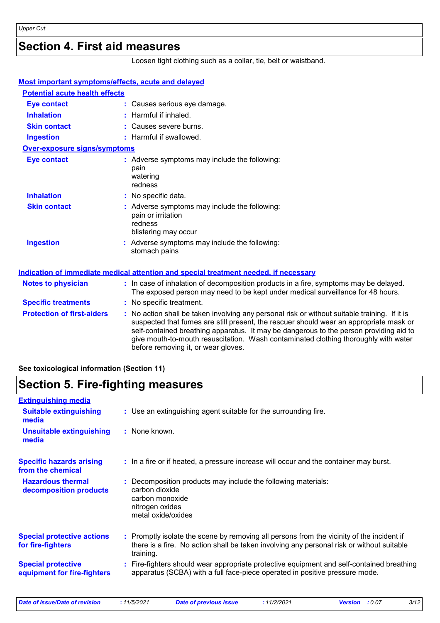### **Section 4. First aid measures**

Loosen tight clothing such as a collar, tie, belt or waistband.

| Most important symptoms/effects, acute and delayed |                                                                                                                                                                                                                                                                                                                                                                                                                 |
|----------------------------------------------------|-----------------------------------------------------------------------------------------------------------------------------------------------------------------------------------------------------------------------------------------------------------------------------------------------------------------------------------------------------------------------------------------------------------------|
| <b>Potential acute health effects</b>              |                                                                                                                                                                                                                                                                                                                                                                                                                 |
| <b>Eye contact</b>                                 | : Causes serious eye damage.                                                                                                                                                                                                                                                                                                                                                                                    |
| <b>Inhalation</b>                                  | $:$ Harmful if inhaled.                                                                                                                                                                                                                                                                                                                                                                                         |
| <b>Skin contact</b>                                | : Causes severe burns.                                                                                                                                                                                                                                                                                                                                                                                          |
| <b>Ingestion</b>                                   | : Harmful if swallowed.                                                                                                                                                                                                                                                                                                                                                                                         |
| <b>Over-exposure signs/symptoms</b>                |                                                                                                                                                                                                                                                                                                                                                                                                                 |
| <b>Eye contact</b>                                 | : Adverse symptoms may include the following:<br>pain<br>watering<br>redness                                                                                                                                                                                                                                                                                                                                    |
| <b>Inhalation</b>                                  | : No specific data.                                                                                                                                                                                                                                                                                                                                                                                             |
| <b>Skin contact</b>                                | : Adverse symptoms may include the following:<br>pain or irritation<br>redness<br>blistering may occur                                                                                                                                                                                                                                                                                                          |
| <b>Ingestion</b>                                   | : Adverse symptoms may include the following:<br>stomach pains                                                                                                                                                                                                                                                                                                                                                  |
|                                                    | Indication of immediate medical attention and special treatment needed, if necessary                                                                                                                                                                                                                                                                                                                            |
| <b>Notes to physician</b>                          | : In case of inhalation of decomposition products in a fire, symptoms may be delayed.<br>The exposed person may need to be kept under medical surveillance for 48 hours.                                                                                                                                                                                                                                        |
| <b>Specific treatments</b>                         | : No specific treatment.                                                                                                                                                                                                                                                                                                                                                                                        |
| <b>Protection of first-aiders</b>                  | : No action shall be taken involving any personal risk or without suitable training. If it is<br>suspected that fumes are still present, the rescuer should wear an appropriate mask or<br>self-contained breathing apparatus. It may be dangerous to the person providing aid to<br>give mouth-to-mouth resuscitation. Wash contaminated clothing thoroughly with water<br>before removing it, or wear gloves. |

#### **See toxicological information (Section 11)**

### **Section 5. Fire-fighting measures**

| <b>Extinguishing media</b>                               |                                                                                                                                                                                                     |
|----------------------------------------------------------|-----------------------------------------------------------------------------------------------------------------------------------------------------------------------------------------------------|
| <b>Suitable extinguishing</b><br>media                   | : Use an extinguishing agent suitable for the surrounding fire.                                                                                                                                     |
| <b>Unsuitable extinguishing</b><br>media                 | : None known.                                                                                                                                                                                       |
| <b>Specific hazards arising</b><br>from the chemical     | : In a fire or if heated, a pressure increase will occur and the container may burst.                                                                                                               |
| <b>Hazardous thermal</b><br>decomposition products       | : Decomposition products may include the following materials:<br>carbon dioxide<br>carbon monoxide<br>nitrogen oxides<br>metal oxide/oxides                                                         |
| <b>Special protective actions</b><br>for fire-fighters   | : Promptly isolate the scene by removing all persons from the vicinity of the incident if<br>there is a fire. No action shall be taken involving any personal risk or without suitable<br>training. |
| <b>Special protective</b><br>equipment for fire-fighters | : Fire-fighters should wear appropriate protective equipment and self-contained breathing<br>apparatus (SCBA) with a full face-piece operated in positive pressure mode.                            |

*Date of issue/Date of revision* **:** *11/5/2021 Date of previous issue : 11/2/2021 Version : 0.07 3/12*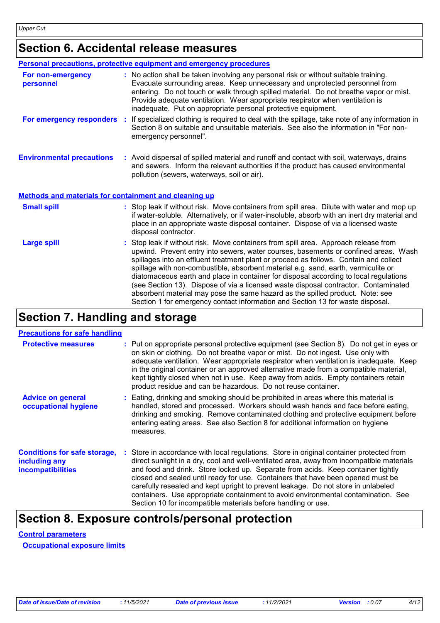## **Section 6. Accidental release measures**

|                                                              | Personal precautions, protective equipment and emergency procedures                                                                                                                                                                                                                                                                                                                                                                                                                                                                                                                                                                                                                                          |
|--------------------------------------------------------------|--------------------------------------------------------------------------------------------------------------------------------------------------------------------------------------------------------------------------------------------------------------------------------------------------------------------------------------------------------------------------------------------------------------------------------------------------------------------------------------------------------------------------------------------------------------------------------------------------------------------------------------------------------------------------------------------------------------|
| For non-emergency<br>personnel                               | : No action shall be taken involving any personal risk or without suitable training.<br>Evacuate surrounding areas. Keep unnecessary and unprotected personnel from<br>entering. Do not touch or walk through spilled material. Do not breathe vapor or mist.<br>Provide adequate ventilation. Wear appropriate respirator when ventilation is<br>inadequate. Put on appropriate personal protective equipment.                                                                                                                                                                                                                                                                                              |
| For emergency responders                                     | If specialized clothing is required to deal with the spillage, take note of any information in<br>÷.<br>Section 8 on suitable and unsuitable materials. See also the information in "For non-<br>emergency personnel".                                                                                                                                                                                                                                                                                                                                                                                                                                                                                       |
| <b>Environmental precautions</b>                             | : Avoid dispersal of spilled material and runoff and contact with soil, waterways, drains<br>and sewers. Inform the relevant authorities if the product has caused environmental<br>pollution (sewers, waterways, soil or air).                                                                                                                                                                                                                                                                                                                                                                                                                                                                              |
| <b>Methods and materials for containment and cleaning up</b> |                                                                                                                                                                                                                                                                                                                                                                                                                                                                                                                                                                                                                                                                                                              |
| <b>Small spill</b>                                           | : Stop leak if without risk. Move containers from spill area. Dilute with water and mop up<br>if water-soluble. Alternatively, or if water-insoluble, absorb with an inert dry material and<br>place in an appropriate waste disposal container. Dispose of via a licensed waste<br>disposal contractor.                                                                                                                                                                                                                                                                                                                                                                                                     |
| <b>Large spill</b>                                           | : Stop leak if without risk. Move containers from spill area. Approach release from<br>upwind. Prevent entry into sewers, water courses, basements or confined areas. Wash<br>spillages into an effluent treatment plant or proceed as follows. Contain and collect<br>spillage with non-combustible, absorbent material e.g. sand, earth, vermiculite or<br>diatomaceous earth and place in container for disposal according to local regulations<br>(see Section 13). Dispose of via a licensed waste disposal contractor. Contaminated<br>absorbent material may pose the same hazard as the spilled product. Note: see<br>Section 1 for emergency contact information and Section 13 for waste disposal. |

### **Section 7. Handling and storage**

| <b>Protective measures</b>                                                       | : Put on appropriate personal protective equipment (see Section 8). Do not get in eyes or<br>on skin or clothing. Do not breathe vapor or mist. Do not ingest. Use only with<br>adequate ventilation. Wear appropriate respirator when ventilation is inadequate. Keep<br>in the original container or an approved alternative made from a compatible material,<br>kept tightly closed when not in use. Keep away from acids. Empty containers retain<br>product residue and can be hazardous. Do not reuse container.                                                                                  |
|----------------------------------------------------------------------------------|---------------------------------------------------------------------------------------------------------------------------------------------------------------------------------------------------------------------------------------------------------------------------------------------------------------------------------------------------------------------------------------------------------------------------------------------------------------------------------------------------------------------------------------------------------------------------------------------------------|
| <b>Advice on general</b><br>occupational hygiene                                 | : Eating, drinking and smoking should be prohibited in areas where this material is<br>handled, stored and processed. Workers should wash hands and face before eating,<br>drinking and smoking. Remove contaminated clothing and protective equipment before<br>entering eating areas. See also Section 8 for additional information on hygiene<br>measures.                                                                                                                                                                                                                                           |
| <b>Conditions for safe storage,</b><br>including any<br><b>incompatibilities</b> | : Store in accordance with local regulations. Store in original container protected from<br>direct sunlight in a dry, cool and well-ventilated area, away from incompatible materials<br>and food and drink. Store locked up. Separate from acids. Keep container tightly<br>closed and sealed until ready for use. Containers that have been opened must be<br>carefully resealed and kept upright to prevent leakage. Do not store in unlabeled<br>containers. Use appropriate containment to avoid environmental contamination. See<br>Section 10 for incompatible materials before handling or use. |

### **Section 8. Exposure controls/personal protection**

**Control parameters Occupational exposure limits**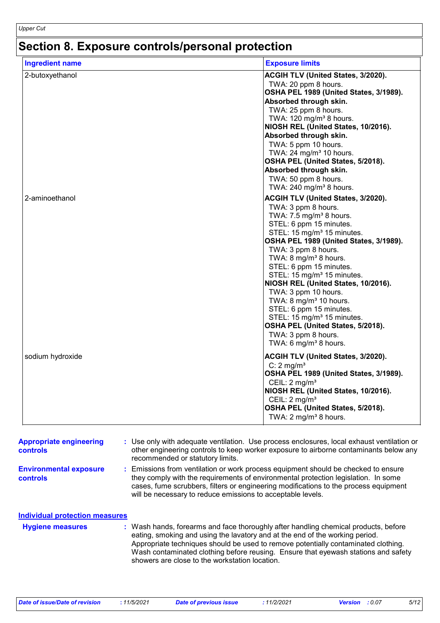# **Section 8. Exposure controls/personal protection**

| <b>Ingredient name</b> | <b>Exposure limits</b>                                            |
|------------------------|-------------------------------------------------------------------|
| 2-butoxyethanol        | ACGIH TLV (United States, 3/2020).                                |
|                        | TWA: 20 ppm 8 hours.                                              |
|                        | OSHA PEL 1989 (United States, 3/1989).                            |
|                        | Absorbed through skin.                                            |
|                        | TWA: 25 ppm 8 hours.                                              |
|                        | TWA: 120 mg/m <sup>3</sup> 8 hours.                               |
|                        | NIOSH REL (United States, 10/2016).                               |
|                        | Absorbed through skin.                                            |
|                        | TWA: 5 ppm 10 hours.<br>TWA: 24 mg/m <sup>3</sup> 10 hours.       |
|                        | OSHA PEL (United States, 5/2018).                                 |
|                        | Absorbed through skin.                                            |
|                        | TWA: 50 ppm 8 hours.                                              |
|                        | TWA: 240 mg/m <sup>3</sup> 8 hours.                               |
| 2-aminoethanol         | ACGIH TLV (United States, 3/2020).                                |
|                        | TWA: 3 ppm 8 hours.                                               |
|                        | TWA: $7.5 \text{ mg/m}^3$ 8 hours.                                |
|                        | STEL: 6 ppm 15 minutes.                                           |
|                        | STEL: 15 mg/m <sup>3</sup> 15 minutes.                            |
|                        | OSHA PEL 1989 (United States, 3/1989).                            |
|                        | TWA: 3 ppm 8 hours.                                               |
|                        | TWA: 8 mg/m <sup>3</sup> 8 hours.                                 |
|                        | STEL: 6 ppm 15 minutes.                                           |
|                        | STEL: 15 mg/m <sup>3</sup> 15 minutes.                            |
|                        | NIOSH REL (United States, 10/2016).                               |
|                        | TWA: 3 ppm 10 hours.                                              |
|                        | TWA: 8 mg/m <sup>3</sup> 10 hours.                                |
|                        | STEL: 6 ppm 15 minutes.<br>STEL: 15 mg/m <sup>3</sup> 15 minutes. |
|                        | OSHA PEL (United States, 5/2018).                                 |
|                        | TWA: 3 ppm 8 hours.                                               |
|                        | TWA: 6 mg/m <sup>3</sup> 8 hours.                                 |
|                        |                                                                   |
| sodium hydroxide       | ACGIH TLV (United States, 3/2020).                                |
|                        | C: $2 \text{ mg/m}^3$<br>OSHA PEL 1989 (United States, 3/1989).   |
|                        | CEIL: $2 \text{ mg/m}^3$                                          |
|                        | NIOSH REL (United States, 10/2016).                               |
|                        | CEIL: $2 \text{ mg/m}^3$                                          |
|                        | OSHA PEL (United States, 5/2018).                                 |
|                        | TWA: 2 mg/m <sup>3</sup> 8 hours.                                 |
|                        |                                                                   |

| <b>Appropriate engineering</b><br>controls | : Use only with adequate ventilation. Use process enclosures, local exhaust ventilation or<br>other engineering controls to keep worker exposure to airborne contaminants below any<br>recommended or statutory limits.                                                                                                                                                                           |
|--------------------------------------------|---------------------------------------------------------------------------------------------------------------------------------------------------------------------------------------------------------------------------------------------------------------------------------------------------------------------------------------------------------------------------------------------------|
| <b>Environmental exposure</b><br>controls  | Emissions from ventilation or work process equipment should be checked to ensure<br>they comply with the requirements of environmental protection legislation. In some<br>cases, fume scrubbers, filters or engineering modifications to the process equipment<br>will be necessary to reduce emissions to acceptable levels.                                                                     |
| Individual protection measures             |                                                                                                                                                                                                                                                                                                                                                                                                   |
| <b>Hygiene measures</b>                    | : Wash hands, forearms and face thoroughly after handling chemical products, before<br>eating, smoking and using the lavatory and at the end of the working period.<br>Appropriate techniques should be used to remove potentially contaminated clothing.<br>Wash contaminated clothing before reusing. Ensure that eyewash stations and safety<br>showers are close to the workstation location. |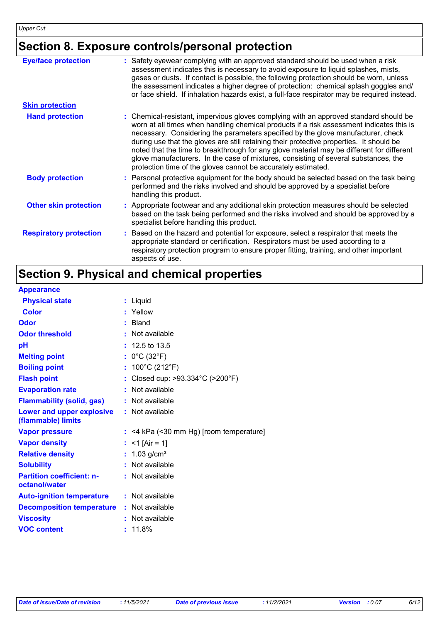# **Section 8. Exposure controls/personal protection**

| <b>Eye/face protection</b>    | : Safety eyewear complying with an approved standard should be used when a risk<br>assessment indicates this is necessary to avoid exposure to liquid splashes, mists,<br>gases or dusts. If contact is possible, the following protection should be worn, unless<br>the assessment indicates a higher degree of protection: chemical splash goggles and/<br>or face shield. If inhalation hazards exist, a full-face respirator may be required instead.                                                                                                                                                              |
|-------------------------------|------------------------------------------------------------------------------------------------------------------------------------------------------------------------------------------------------------------------------------------------------------------------------------------------------------------------------------------------------------------------------------------------------------------------------------------------------------------------------------------------------------------------------------------------------------------------------------------------------------------------|
| <b>Skin protection</b>        |                                                                                                                                                                                                                                                                                                                                                                                                                                                                                                                                                                                                                        |
| <b>Hand protection</b>        | : Chemical-resistant, impervious gloves complying with an approved standard should be<br>worn at all times when handling chemical products if a risk assessment indicates this is<br>necessary. Considering the parameters specified by the glove manufacturer, check<br>during use that the gloves are still retaining their protective properties. It should be<br>noted that the time to breakthrough for any glove material may be different for different<br>glove manufacturers. In the case of mixtures, consisting of several substances, the<br>protection time of the gloves cannot be accurately estimated. |
| <b>Body protection</b>        | : Personal protective equipment for the body should be selected based on the task being<br>performed and the risks involved and should be approved by a specialist before<br>handling this product.                                                                                                                                                                                                                                                                                                                                                                                                                    |
| <b>Other skin protection</b>  | : Appropriate footwear and any additional skin protection measures should be selected<br>based on the task being performed and the risks involved and should be approved by a<br>specialist before handling this product.                                                                                                                                                                                                                                                                                                                                                                                              |
| <b>Respiratory protection</b> | : Based on the hazard and potential for exposure, select a respirator that meets the<br>appropriate standard or certification. Respirators must be used according to a<br>respiratory protection program to ensure proper fitting, training, and other important<br>aspects of use.                                                                                                                                                                                                                                                                                                                                    |

# **Section 9. Physical and chemical properties**

#### **Appearance**

| <b>Physical state</b>                             |    | : Liquid                              |
|---------------------------------------------------|----|---------------------------------------|
| <b>Color</b>                                      |    | : Yellow                              |
| Odor                                              |    | <b>Bland</b>                          |
| <b>Odor threshold</b>                             |    | Not available                         |
| рH                                                |    | $: 12.5$ to 13.5                      |
| <b>Melting point</b>                              |    | : $0^{\circ}$ C (32 $^{\circ}$ F)     |
| <b>Boiling point</b>                              | ÷. | 100°C (212°F)                         |
| <b>Flash point</b>                                |    | Closed cup: >93.334°C (>200°F)        |
| <b>Evaporation rate</b>                           |    | Not available                         |
| <b>Flammability (solid, gas)</b>                  |    | : Not available                       |
| Lower and upper explosive<br>(flammable) limits   |    | : Not available                       |
| <b>Vapor pressure</b>                             |    | <4 kPa (<30 mm Hg) [room temperature] |
| <b>Vapor density</b>                              |    | $<$ 1 [Air = 1]                       |
| <b>Relative density</b>                           | ÷. | 1.03 $g/cm3$                          |
| <b>Solubility</b>                                 |    | Not available                         |
| <b>Partition coefficient: n-</b><br>octanol/water |    | : Not available                       |
| <b>Auto-ignition temperature</b>                  |    | : Not available                       |
| <b>Decomposition temperature</b>                  |    | : Not available                       |
| <b>Viscosity</b>                                  |    | : Not available                       |
| <b>VOC content</b>                                |    | 11.8%                                 |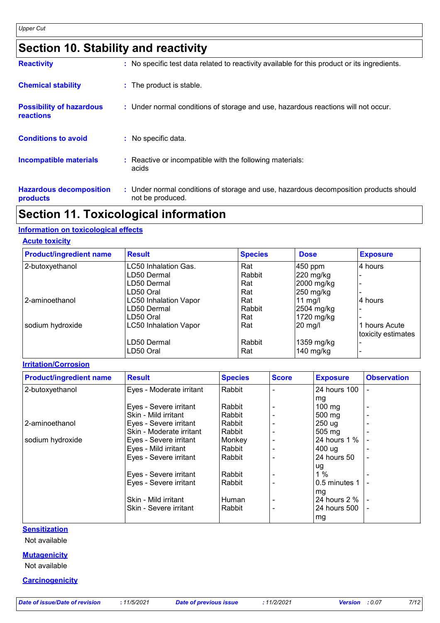## **Section 10. Stability and reactivity**

| <b>Reactivity</b>                            | : No specific test data related to reactivity available for this product or its ingredients.              |
|----------------------------------------------|-----------------------------------------------------------------------------------------------------------|
| <b>Chemical stability</b>                    | : The product is stable.                                                                                  |
| <b>Possibility of hazardous</b><br>reactions | : Under normal conditions of storage and use, hazardous reactions will not occur.                         |
| <b>Conditions to avoid</b>                   | : No specific data.                                                                                       |
| <b>Incompatible materials</b>                | : Reactive or incompatible with the following materials:<br>acids                                         |
| <b>Hazardous decomposition</b><br>products   | : Under normal conditions of storage and use, hazardous decomposition products should<br>not be produced. |

### **Section 11. Toxicological information**

#### **Information on toxicological effects**

#### **Acute toxicity**

| <b>Product/ingredient name</b> | <b>Result</b>                | <b>Species</b> | <b>Dose</b> | <b>Exposure</b>    |
|--------------------------------|------------------------------|----------------|-------------|--------------------|
| 2-butoxyethanol                | LC50 Inhalation Gas.         | Rat            | 450 ppm     | 4 hours            |
|                                | LD50 Dermal                  | Rabbit         | 220 mg/kg   |                    |
|                                | LD50 Dermal                  | Rat            | 2000 mg/kg  |                    |
|                                | LD50 Oral                    | Rat            | 250 mg/kg   |                    |
| 2-aminoethanol                 | <b>LC50 Inhalation Vapor</b> | Rat            | 11 $mg/l$   | 4 hours            |
|                                | LD50 Dermal                  | Rabbit         | 2504 mg/kg  |                    |
|                                | LD50 Oral                    | Rat            | 1720 mg/kg  |                    |
| sodium hydroxide               | <b>LC50 Inhalation Vapor</b> | Rat            | $20$ mg/l   | 1 hours Acute      |
|                                |                              |                |             | toxicity estimates |
|                                | LD50 Dermal                  | Rabbit         | 1359 mg/kg  |                    |
|                                | LD50 Oral                    | Rat            | $140$ mg/kg |                    |

#### **Irritation/Corrosion**

| <b>Product/ingredient name</b> | <b>Result</b>            | <b>Species</b> | <b>Score</b> | <b>Exposure</b>  | <b>Observation</b> |
|--------------------------------|--------------------------|----------------|--------------|------------------|--------------------|
| 2-butoxyethanol                | Eyes - Moderate irritant | Rabbit         |              | 24 hours 100     |                    |
|                                |                          |                |              | mg               |                    |
|                                | Eyes - Severe irritant   | Rabbit         |              | $100 \text{ mg}$ |                    |
|                                | Skin - Mild irritant     | Rabbit         |              | 500 mg           |                    |
| 2-aminoethanol                 | Eyes - Severe irritant   | Rabbit         |              | 250 ug           |                    |
|                                | Skin - Moderate irritant | Rabbit         |              | 505 mg           |                    |
| sodium hydroxide               | Eyes - Severe irritant   | Monkey         |              | 24 hours 1 %     |                    |
|                                | Eyes - Mild irritant     | Rabbit         |              | 400 ug           |                    |
|                                | Eyes - Severe irritant   | Rabbit         |              | 24 hours 50      | ٠                  |
|                                |                          |                |              | ug               |                    |
|                                | Eyes - Severe irritant   | Rabbit         |              | 1%               |                    |
|                                | Eyes - Severe irritant   | Rabbit         |              | 0.5 minutes 1    |                    |
|                                |                          |                |              | mg               |                    |
|                                | Skin - Mild irritant     | Human          |              | 24 hours 2 %     |                    |
|                                | Skin - Severe irritant   | Rabbit         |              | 24 hours 500     |                    |
|                                |                          |                |              | mg               |                    |

#### **Sensitization**

Not available

#### **Mutagenicity**

Not available

#### **Carcinogenicity**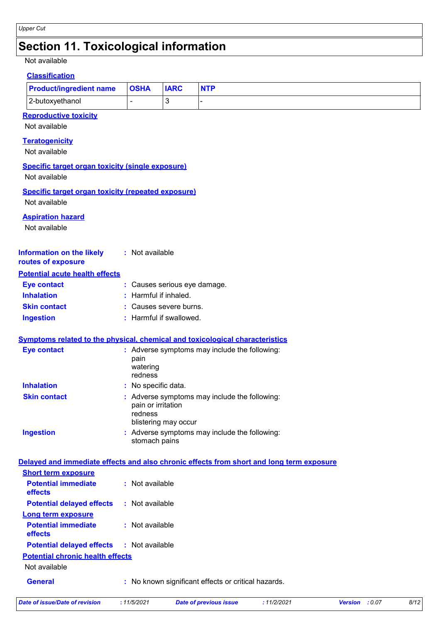### **Section 11. Toxicological information**

#### Not available

#### **Classification**

| <b>Product/ingredient name   OSHA</b> | <b>IARC</b> | <b>NTP</b> |
|---------------------------------------|-------------|------------|
| 2-butoxyethanol                       |             |            |

#### **Reproductive toxicity**

Not available

#### **Teratogenicity**

Not available

#### **Specific target organ toxicity (single exposure)**

Not available

#### **Specific target organ toxicity (repeated exposure)**

Not available

#### **Aspiration hazard**

Not available

#### **Information on the likely routes of exposure :** Not available

#### **Potential acute health effects**

| <b>Eye contact</b>  | : Causes serious eye damage.     |
|---------------------|----------------------------------|
| <b>Inhalation</b>   | $\therefore$ Harmful if inhaled. |
| <b>Skin contact</b> | : Causes severe burns.           |
| <b>Ingestion</b>    | : Harmful if swallowed.          |

#### **Symptoms related to the physical, chemical and toxicological characteristics**

| <b>Eye contact</b>  | : Adverse symptoms may include the following:<br>pain<br>watering<br>redness                           |
|---------------------|--------------------------------------------------------------------------------------------------------|
| <b>Inhalation</b>   | : No specific data.                                                                                    |
| <b>Skin contact</b> | : Adverse symptoms may include the following:<br>pain or irritation<br>redness<br>blistering may occur |
| <b>Ingestion</b>    | : Adverse symptoms may include the following:<br>stomach pains                                         |

#### **Delayed and immediate effects and also chronic effects from short and long term exposure**

| <b>Short term exposure</b>                       |                                                     |
|--------------------------------------------------|-----------------------------------------------------|
| <b>Potential immediate</b><br><b>effects</b>     | $:$ Not available                                   |
| <b>Potential delayed effects : Not available</b> |                                                     |
| Long term exposure                               |                                                     |
| <b>Potential immediate</b><br>effects            | : Not available                                     |
| <b>Potential delayed effects : Not available</b> |                                                     |
| <b>Potential chronic health effects</b>          |                                                     |
| Not available                                    |                                                     |
| <b>General</b>                                   | : No known significant effects or critical hazards. |

*Date of issue/Date of revision* **:** *11/5/2021 Date of previous issue : 11/2/2021 Version : 0.07 8/12*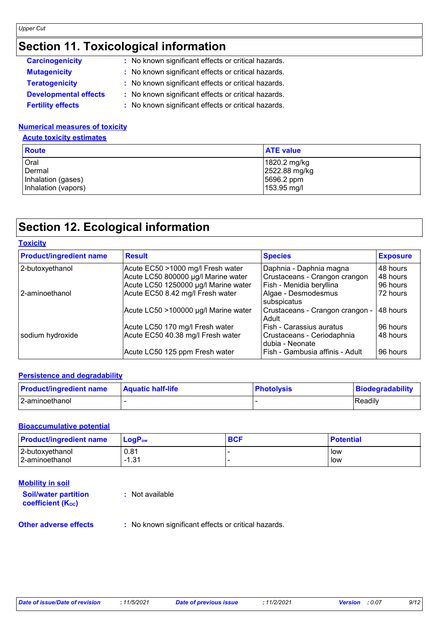## **Section 11. Toxicological information**

| <b>Carcinogenicity</b>       | : No known significant effects or critical hazards. |
|------------------------------|-----------------------------------------------------|
| <b>Mutagenicity</b>          | : No known significant effects or critical hazards. |
| <b>Teratogenicity</b>        | : No known significant effects or critical hazards. |
| <b>Developmental effects</b> | : No known significant effects or critical hazards. |
| <b>Fertility effects</b>     | : No known significant effects or critical hazards. |

#### **Numerical measures of toxicity**

**Acute toxicity estimates**

| <b>Route</b>        | <b>ATE value</b> |
|---------------------|------------------|
| Oral                | 1820.2 mg/kg     |
| Dermal              | 2522.88 mg/kg    |
| Inhalation (gases)  | 5696.2 ppm       |
| Inhalation (vapors) | 153.95 mg/l      |

### **Section 12. Ecological information**

| <b>Product/ingredient name</b> | <b>Result</b>                        | <b>Species</b>                                | <b>Exposure</b> |
|--------------------------------|--------------------------------------|-----------------------------------------------|-----------------|
| 2-butoxyethanol                | Acute EC50 >1000 mg/l Fresh water    | Daphnia - Daphnia magna                       | 48 hours        |
|                                | Acute LC50 800000 µg/l Marine water  | Crustaceans - Crangon crangon                 | 48 hours        |
|                                | Acute LC50 1250000 µg/l Marine water | Fish - Menidia beryllina                      | 96 hours        |
| 2-aminoethanol                 | Acute EC50 8.42 mg/l Fresh water     | Algae - Desmodesmus<br>subspicatus            | 72 hours        |
|                                | Acute LC50 >100000 µg/l Marine water | Crustaceans - Crangon crangon -<br>Adult      | 48 hours        |
|                                | Acute LC50 170 mg/l Fresh water      | Fish - Carassius auratus                      | 96 hours        |
| sodium hydroxide               | Acute EC50 40.38 mg/l Fresh water    | Crustaceans - Ceriodaphnia<br>dubia - Neonate | 48 hours        |
|                                | Acute LC50 125 ppm Fresh water       | Fish - Gambusia affinis - Adult               | 96 hours        |

#### **Persistence and degradability**

| <b>Product/ingredient name</b> | <b>Aquatic half-life</b> | <b>Photolysis</b> | Biodegradability |
|--------------------------------|--------------------------|-------------------|------------------|
| 2-aminoethanol                 |                          |                   | Readily          |

#### **Bioaccumulative potential**

| <b>Product/ingredient name</b> | $\mathsf{LogP}_\mathsf{ow}$ | <b>BCF</b> | <b>Potential</b> |
|--------------------------------|-----------------------------|------------|------------------|
| 2-butoxyethanol                | 0.81                        |            | low              |
| 2-aminoethanol                 | $-1.31$                     |            | low              |

### **Mobility in soil**

| <b>Soil/water partition</b><br>coefficient (K <sub>oc</sub> ) | : Not available                                     |
|---------------------------------------------------------------|-----------------------------------------------------|
| <b>Other adverse effects</b>                                  | : No known significant effects or critical hazards. |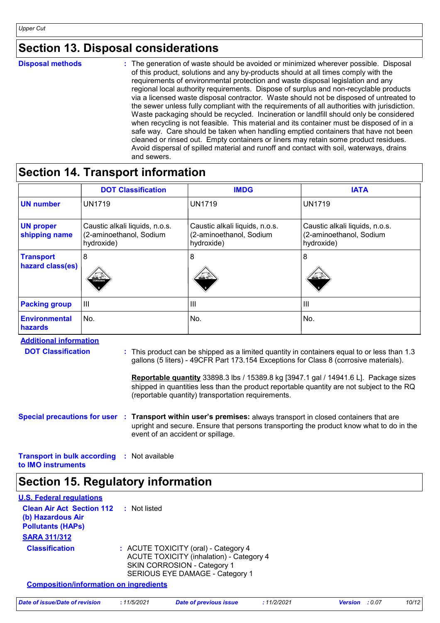### **Section 13. Disposal considerations**

**Disposal methods :**

The generation of waste should be avoided or minimized wherever possible. Disposal of this product, solutions and any by-products should at all times comply with the requirements of environmental protection and waste disposal legislation and any regional local authority requirements. Dispose of surplus and non-recyclable products via a licensed waste disposal contractor. Waste should not be disposed of untreated to the sewer unless fully compliant with the requirements of all authorities with jurisdiction. Waste packaging should be recycled. Incineration or landfill should only be considered when recycling is not feasible. This material and its container must be disposed of in a safe way. Care should be taken when handling emptied containers that have not been cleaned or rinsed out. Empty containers or liners may retain some product residues. Avoid dispersal of spilled material and runoff and contact with soil, waterways, drains and sewers.

### **Section 14. Transport information**

|                                      | <b>DOT Classification</b>                                               | <b>IMDG</b>                                                             | <b>IATA</b>                                                             |
|--------------------------------------|-------------------------------------------------------------------------|-------------------------------------------------------------------------|-------------------------------------------------------------------------|
| <b>UN number</b>                     | <b>UN1719</b>                                                           | <b>UN1719</b>                                                           | <b>UN1719</b>                                                           |
| <b>UN proper</b><br>shipping name    | Caustic alkali liquids, n.o.s.<br>(2-aminoethanol, Sodium<br>hydroxide) | Caustic alkali liquids, n.o.s.<br>(2-aminoethanol, Sodium<br>hydroxide) | Caustic alkali liquids, n.o.s.<br>(2-aminoethanol, Sodium<br>hydroxide) |
| <b>Transport</b><br>hazard class(es) | 8<br>≝ ≚<br><b>CORROSM</b>                                              | 8                                                                       | 8<br>翠绿                                                                 |
| <b>Packing group</b>                 | $\mathbf{III}$                                                          | $\mathbf{III}$                                                          | Ш                                                                       |
| <b>Environmental</b><br>hazards      | No.                                                                     | No.                                                                     | No.                                                                     |

**Additional information DOT Classification :**

| : This product can be shipped as a limited quantity in containers equal to or less than 1.3 |
|---------------------------------------------------------------------------------------------|
| gallons (5 liters) - 49CFR Part 173.154 Exceptions for Class 8 (corrosive materials).       |

**Reportable quantity** 33898.3 lbs / 15389.8 kg [3947.1 gal / 14941.6 L]. Package sizes shipped in quantities less than the product reportable quantity are not subject to the RQ (reportable quantity) transportation requirements.

#### **Special precautions for user Transport within user's premises:** always transport in closed containers that are **:** upright and secure. Ensure that persons transporting the product know what to do in the event of an accident or spillage.

**Transport in bulk according :** Not available **to IMO instruments**

### **Section 15. Regulatory information**

| <b>U.S. Federal regulations</b><br><b>Clean Air Act Section 112</b> | Not listed<br>÷. |                                                                                                                                                                  |            |                       |       |
|---------------------------------------------------------------------|------------------|------------------------------------------------------------------------------------------------------------------------------------------------------------------|------------|-----------------------|-------|
| (b) Hazardous Air<br><b>Pollutants (HAPS)</b>                       |                  |                                                                                                                                                                  |            |                       |       |
| <b>SARA 311/312</b>                                                 |                  |                                                                                                                                                                  |            |                       |       |
| <b>Classification</b>                                               |                  | : ACUTE TOXICITY (oral) - Category 4<br><b>ACUTE TOXICITY (inhalation) - Category 4</b><br><b>SKIN CORROSION - Category 1</b><br>SERIOUS EYE DAMAGE - Category 1 |            |                       |       |
| <b>Composition/information on ingredients</b>                       |                  |                                                                                                                                                                  |            |                       |       |
| Date of issue/Date of revision                                      | : 11/5/2021      | <b>Date of previous issue</b>                                                                                                                                    | :11/2/2021 | <b>Version</b> : 0.07 | 10/12 |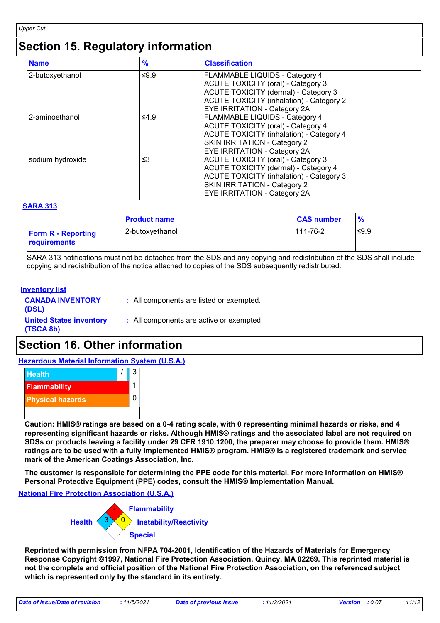### **Section 15. Regulatory information**

| <b>Name</b>      | $\frac{9}{6}$ | <b>Classification</b>                           |
|------------------|---------------|-------------------------------------------------|
| 2-butoxyethanol  | ≤ $9.9$       | <b>FLAMMABLE LIQUIDS - Category 4</b>           |
|                  |               | <b>ACUTE TOXICITY (oral) - Category 3</b>       |
|                  |               | <b>ACUTE TOXICITY (dermal) - Category 3</b>     |
|                  |               | <b>ACUTE TOXICITY (inhalation) - Category 2</b> |
|                  |               | <b>EYE IRRITATION - Category 2A</b>             |
| 2-aminoethanol   | ≤4.9          | <b>FLAMMABLE LIQUIDS - Category 4</b>           |
|                  |               | <b>ACUTE TOXICITY (oral) - Category 4</b>       |
|                  |               | <b>ACUTE TOXICITY (inhalation) - Category 4</b> |
|                  |               | SKIN IRRITATION - Category 2                    |
|                  |               | EYE IRRITATION - Category 2A                    |
| sodium hydroxide | ≤3            | <b>ACUTE TOXICITY (oral) - Category 3</b>       |
|                  |               | <b>ACUTE TOXICITY (dermal) - Category 4</b>     |
|                  |               | <b>ACUTE TOXICITY (inhalation) - Category 3</b> |
|                  |               | <b>SKIN IRRITATION - Category 2</b>             |
|                  |               | <b>EYE IRRITATION - Category 2A</b>             |

#### **SARA 313**

|                                           | <b>Product name</b> | <b>CAS number</b> | %     |
|-------------------------------------------|---------------------|-------------------|-------|
| <b>Form R</b> - Reporting<br>requirements | l 2-butoxvethanol   | 111-76-2          | ∣≤9.9 |

SARA 313 notifications must not be detached from the SDS and any copying and redistribution of the SDS shall include copying and redistribution of the notice attached to copies of the SDS subsequently redistributed.

#### **Inventory list**

| <b>CANADA INVENTORY</b><br>(DSL)            | : All components are listed or exempted. |
|---------------------------------------------|------------------------------------------|
| <b>United States inventory</b><br>(TSCA 8b) | : All components are active or exempted. |

### **Section 16. Other information**

#### **Hazardous Material Information System (U.S.A.)**



**Caution: HMIS® ratings are based on a 0-4 rating scale, with 0 representing minimal hazards or risks, and 4 representing significant hazards or risks. Although HMIS® ratings and the associated label are not required on SDSs or products leaving a facility under 29 CFR 1910.1200, the preparer may choose to provide them. HMIS® ratings are to be used with a fully implemented HMIS® program. HMIS® is a registered trademark and service mark of the American Coatings Association, Inc.**

**The customer is responsible for determining the PPE code for this material. For more information on HMIS® Personal Protective Equipment (PPE) codes, consult the HMIS® Implementation Manual.**

**National Fire Protection Association (U.S.A.)**



**Reprinted with permission from NFPA 704-2001, Identification of the Hazards of Materials for Emergency Response Copyright ©1997, National Fire Protection Association, Quincy, MA 02269. This reprinted material is not the complete and official position of the National Fire Protection Association, on the referenced subject which is represented only by the standard in its entirety.**